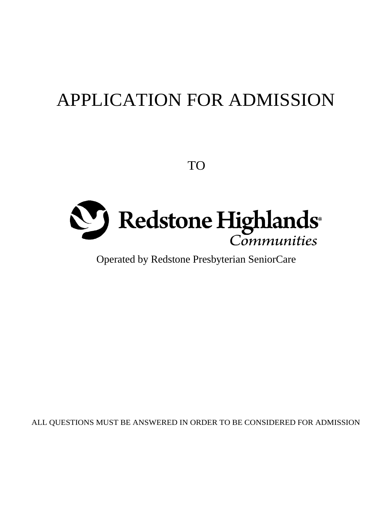# APPLICATION FOR ADMISSION

TO



Operated by Redstone Presbyterian SeniorCare

ALL QUESTIONS MUST BE ANSWERED IN ORDER TO BE CONSIDERED FOR ADMISSION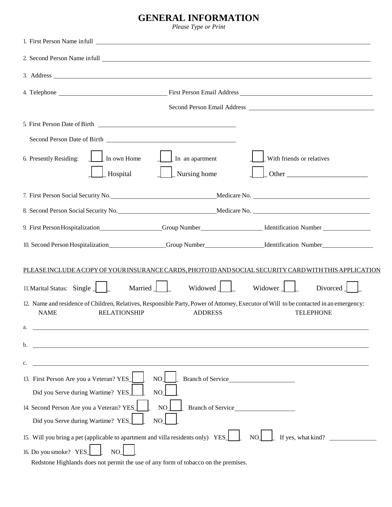### **GENERAL INFORMATION**

*Please Type or Print* 

|                                                                                                              |                                                                | 2. Second Person Name infull League and Second Person Name infull League and Second Person Name infull League and Second Person Name infull League and Second Person Name infull League and Second Person Name infull League a |
|--------------------------------------------------------------------------------------------------------------|----------------------------------------------------------------|--------------------------------------------------------------------------------------------------------------------------------------------------------------------------------------------------------------------------------|
|                                                                                                              |                                                                |                                                                                                                                                                                                                                |
|                                                                                                              |                                                                |                                                                                                                                                                                                                                |
|                                                                                                              |                                                                |                                                                                                                                                                                                                                |
|                                                                                                              | 5. First Person Date of Birth                                  |                                                                                                                                                                                                                                |
|                                                                                                              |                                                                |                                                                                                                                                                                                                                |
| $\ln$ own Home<br>6. Presently Residing:                                                                     | $\perp$ In an apartment                                        | With friends or relatives                                                                                                                                                                                                      |
| Hospital                                                                                                     | Nursing home                                                   | Other                                                                                                                                                                                                                          |
| 7. First Person Social Security No. Medicare No. Medicare No.                                                |                                                                |                                                                                                                                                                                                                                |
|                                                                                                              | 8. Second Person Social Security No. Medicare No. Medicare No. |                                                                                                                                                                                                                                |
|                                                                                                              |                                                                |                                                                                                                                                                                                                                |
|                                                                                                              |                                                                | 10. Second Person Hospitalization_________________Group Number____________________Identification Number_______________                                                                                                         |
| PLEASE INCLUDE A COPY OF YOUR INSURANCE CARDS, PHOTO ID AND SOCIAL SECURITY CARD WITH THIS APPLICATION       |                                                                |                                                                                                                                                                                                                                |
| 11. Marital Status: Single $\Box$                                                                            | Widowed    <br>Married $\int$                                  | Widower $\Box$<br>Divorced                                                                                                                                                                                                     |
| <b>NAME</b><br><b>RELATIONSHIP</b>                                                                           | <b>ADDRESS</b>                                                 | 12. Name and residence of Children, Relatives, Responsible Party, Power of Attorney, Executor of Will to be contacted in an emergency:<br><b>TELEPHONE</b>                                                                     |
| <u> 1980 - Johann Barbara, martxa alemaniar amerikan a</u><br>a.                                             |                                                                |                                                                                                                                                                                                                                |
| b.                                                                                                           |                                                                |                                                                                                                                                                                                                                |
| c.                                                                                                           | <u> 1989 - Johann Stoff, amerikansk politiker (d. 1989)</u>    |                                                                                                                                                                                                                                |
| 13. First Person Are you a Veteran? YES<br>NO                                                                |                                                                |                                                                                                                                                                                                                                |
| Did you Serve during Wartime? YES_<br>NO                                                                     |                                                                |                                                                                                                                                                                                                                |
| 14. Second Person Are you a Veteran? YES<br>NO                                                               |                                                                |                                                                                                                                                                                                                                |
| Did you Serve during Wartime? YES<br>NO                                                                      |                                                                |                                                                                                                                                                                                                                |
| 15. Will you bring a pet (applicable to apartment and villa residents only) YES<br>If yes, what kind?<br>NO. |                                                                |                                                                                                                                                                                                                                |
| 16. Do you smoke? YES_<br>NO                                                                                 |                                                                |                                                                                                                                                                                                                                |

Redstone Highlands does not permit the use of any form of tobacco on the premises.